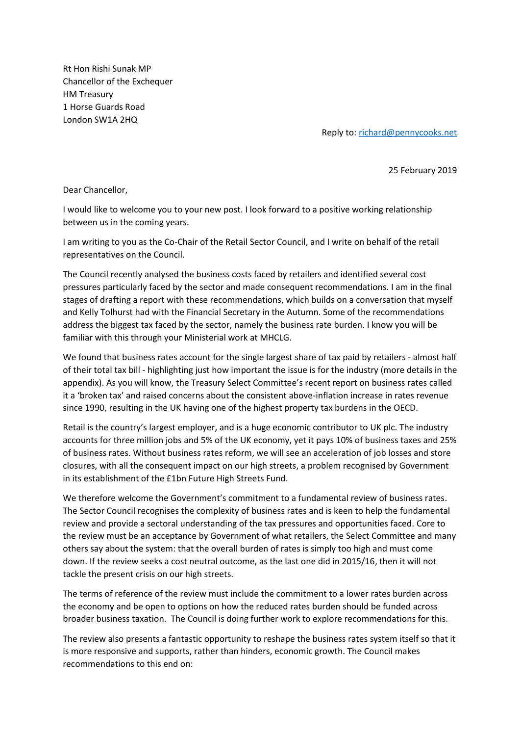Rt Hon Rishi Sunak MP Chancellor of the Exchequer HM Treasury 1 Horse Guards Road London SW1A 2HQ

Reply to[: richard@pennycooks.net](mailto:richard@pennycooks.net)

25 February 2019

Dear Chancellor,

I would like to welcome you to your new post. I look forward to a positive working relationship between us in the coming years.

I am writing to you as the Co-Chair of the Retail Sector Council, and I write on behalf of the retail representatives on the Council.

The Council recently analysed the business costs faced by retailers and identified several cost pressures particularly faced by the sector and made consequent recommendations. I am in the final stages of drafting a report with these recommendations, which builds on a conversation that myself and Kelly Tolhurst had with the Financial Secretary in the Autumn. Some of the recommendations address the biggest tax faced by the sector, namely the business rate burden. I know you will be familiar with this through your Ministerial work at MHCLG.

We found that business rates account for the single largest share of tax paid by retailers - almost half of their total tax bill - highlighting just how important the issue is for the industry (more details in the appendix). As you will know, the Treasury Select Committee's recent report on business rates called it a 'broken tax' and raised concerns about the consistent above-inflation increase in rates revenue since 1990, resulting in the UK having one of the highest property tax burdens in the OECD.

Retail is the country's largest employer, and is a huge economic contributor to UK plc. The industry accounts for three million jobs and 5% of the UK economy, yet it pays 10% of business taxes and 25% of business rates. Without business rates reform, we will see an acceleration of job losses and store closures, with all the consequent impact on our high streets, a problem recognised by Government in its establishment of the £1bn Future High Streets Fund.

We therefore welcome the Government's commitment to a fundamental review of business rates. The Sector Council recognises the complexity of business rates and is keen to help the fundamental review and provide a sectoral understanding of the tax pressures and opportunities faced. Core to the review must be an acceptance by Government of what retailers, the Select Committee and many others say about the system: that the overall burden of rates is simply too high and must come down. If the review seeks a cost neutral outcome, as the last one did in 2015/16, then it will not tackle the present crisis on our high streets.

The terms of reference of the review must include the commitment to a lower rates burden across the economy and be open to options on how the reduced rates burden should be funded across broader business taxation. The Council is doing further work to explore recommendations for this.

The review also presents a fantastic opportunity to reshape the business rates system itself so that it is more responsive and supports, rather than hinders, economic growth. The Council makes recommendations to this end on: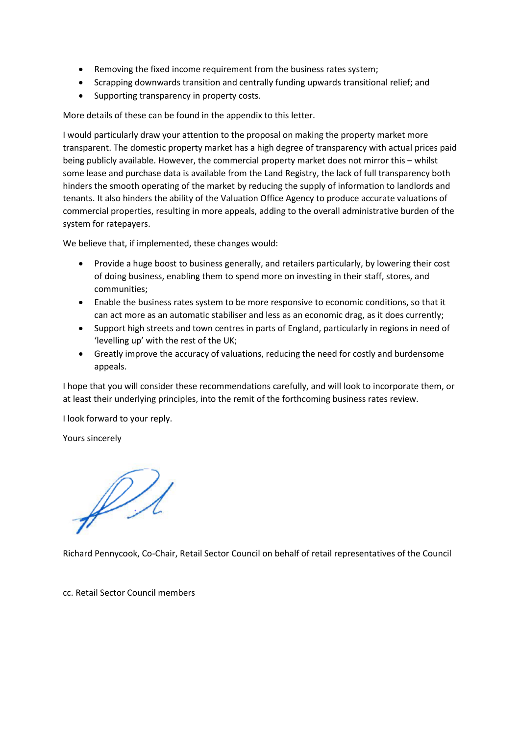- Removing the fixed income requirement from the business rates system;
- Scrapping downwards transition and centrally funding upwards transitional relief; and
- Supporting transparency in property costs.

More details of these can be found in the appendix to this letter.

I would particularly draw your attention to the proposal on making the property market more transparent. The domestic property market has a high degree of transparency with actual prices paid being publicly available. However, the commercial property market does not mirror this – whilst some lease and purchase data is available from the Land Registry, the lack of full transparency both hinders the smooth operating of the market by reducing the supply of information to landlords and tenants. It also hinders the ability of the Valuation Office Agency to produce accurate valuations of commercial properties, resulting in more appeals, adding to the overall administrative burden of the system for ratepayers.

We believe that, if implemented, these changes would:

- Provide a huge boost to business generally, and retailers particularly, by lowering their cost of doing business, enabling them to spend more on investing in their staff, stores, and communities;
- Enable the business rates system to be more responsive to economic conditions, so that it can act more as an automatic stabiliser and less as an economic drag, as it does currently;
- Support high streets and town centres in parts of England, particularly in regions in need of 'levelling up' with the rest of the UK;
- Greatly improve the accuracy of valuations, reducing the need for costly and burdensome appeals.

I hope that you will consider these recommendations carefully, and will look to incorporate them, or at least their underlying principles, into the remit of the forthcoming business rates review.

I look forward to your reply.

Yours sincerely

Richard Pennycook, Co-Chair, Retail Sector Council on behalf of retail representatives of the Council

cc. Retail Sector Council members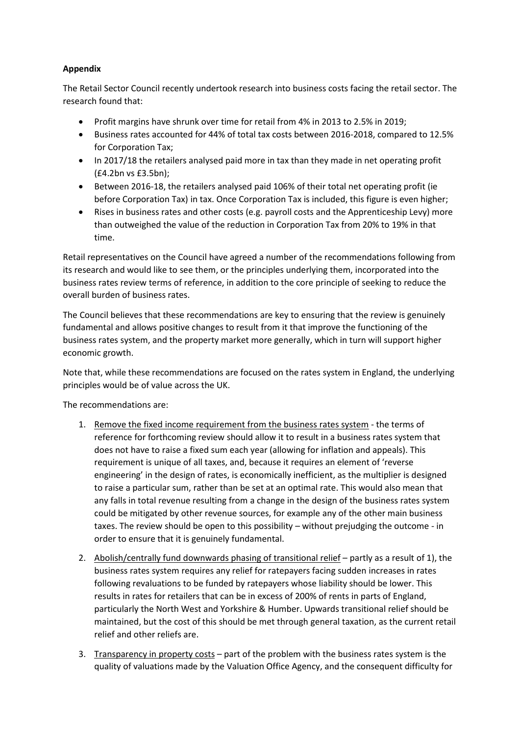## **Appendix**

The Retail Sector Council recently undertook research into business costs facing the retail sector. The research found that:

- Profit margins have shrunk over time for retail from 4% in 2013 to 2.5% in 2019;
- Business rates accounted for 44% of total tax costs between 2016-2018, compared to 12.5% for Corporation Tax;
- In 2017/18 the retailers analysed paid more in tax than they made in net operating profit (£4.2bn vs £3.5bn);
- Between 2016-18, the retailers analysed paid 106% of their total net operating profit (ie before Corporation Tax) in tax. Once Corporation Tax is included, this figure is even higher;
- Rises in business rates and other costs (e.g. payroll costs and the Apprenticeship Levy) more than outweighed the value of the reduction in Corporation Tax from 20% to 19% in that time.

Retail representatives on the Council have agreed a number of the recommendations following from its research and would like to see them, or the principles underlying them, incorporated into the business rates review terms of reference, in addition to the core principle of seeking to reduce the overall burden of business rates.

The Council believes that these recommendations are key to ensuring that the review is genuinely fundamental and allows positive changes to result from it that improve the functioning of the business rates system, and the property market more generally, which in turn will support higher economic growth.

Note that, while these recommendations are focused on the rates system in England, the underlying principles would be of value across the UK.

The recommendations are:

- 1. Remove the fixed income requirement from the business rates system the terms of reference for forthcoming review should allow it to result in a business rates system that does not have to raise a fixed sum each year (allowing for inflation and appeals). This requirement is unique of all taxes, and, because it requires an element of 'reverse engineering' in the design of rates, is economically inefficient, as the multiplier is designed to raise a particular sum, rather than be set at an optimal rate. This would also mean that any falls in total revenue resulting from a change in the design of the business rates system could be mitigated by other revenue sources, for example any of the other main business taxes. The review should be open to this possibility – without prejudging the outcome - in order to ensure that it is genuinely fundamental.
- 2. Abolish/centrally fund downwards phasing of transitional relief partly as a result of 1), the business rates system requires any relief for ratepayers facing sudden increases in rates following revaluations to be funded by ratepayers whose liability should be lower. This results in rates for retailers that can be in excess of 200% of rents in parts of England, particularly the North West and Yorkshire & Humber. Upwards transitional relief should be maintained, but the cost of this should be met through general taxation, as the current retail relief and other reliefs are.
- 3. Transparency in property costs part of the problem with the business rates system is the quality of valuations made by the Valuation Office Agency, and the consequent difficulty for